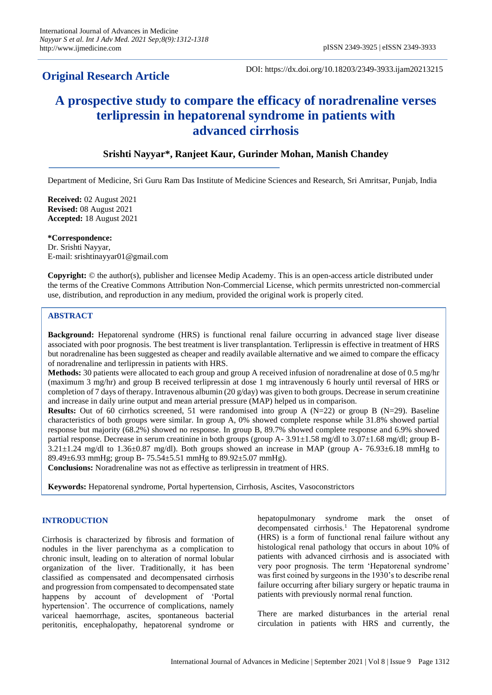## **Original Research Article**

DOI: https://dx.doi.org/10.18203/2349-3933.ijam20213215

# **A prospective study to compare the efficacy of noradrenaline verses terlipressin in hepatorenal syndrome in patients with advanced cirrhosis**

## **Srishti Nayyar\*, Ranjeet Kaur, Gurinder Mohan, Manish Chandey**

Department of Medicine, Sri Guru Ram Das Institute of Medicine Sciences and Research, Sri Amritsar, Punjab, India

**Received:** 02 August 2021 **Revised:** 08 August 2021 **Accepted:** 18 August 2021

**\*Correspondence:** Dr. Srishti Nayyar, E-mail: srishtinayyar01@gmail.com

**Copyright:** © the author(s), publisher and licensee Medip Academy. This is an open-access article distributed under the terms of the Creative Commons Attribution Non-Commercial License, which permits unrestricted non-commercial use, distribution, and reproduction in any medium, provided the original work is properly cited.

## **ABSTRACT**

**Background:** Hepatorenal syndrome (HRS) is functional renal failure occurring in advanced stage liver disease associated with poor prognosis. The best treatment is liver transplantation. Terlipressin is effective in treatment of HRS but noradrenaline has been suggested as cheaper and readily available alternative and we aimed to compare the efficacy of noradrenaline and terlipressin in patients with HRS.

**Methods:** 30 patients were allocated to each group and group A received infusion of noradrenaline at dose of 0.5 mg/hr (maximum 3 mg/hr) and group B received terlipressin at dose 1 mg intravenously 6 hourly until reversal of HRS or completion of 7 days of therapy. Intravenous albumin (20  $g/day$ ) was given to both groups. Decrease in serum creatinine and increase in daily urine output and mean arterial pressure (MAP) helped us in comparison.

**Results:** Out of 60 cirrhotics screened, 51 were randomised into group A (N=22) or group B (N=29). Baseline characteristics of both groups were similar. In group A, 0% showed complete response while 31.8% showed partial response but majority (68.2%) showed no response. In group B, 89.7% showed complete response and 6.9% showed partial response. Decrease in serum creatinine in both groups (group A- 3.91±1.58 mg/dl to 3.07±1.68 mg/dl; group B- $3.21 \pm 1.24$  mg/dl to  $1.36 \pm 0.87$  mg/dl). Both groups showed an increase in MAP (group A- 76.93 $\pm$ 6.18 mmHg to 89.49±6.93 mmHg; group B- 75.54±5.51 mmHg to 89.92±5.07 mmHg).

**Conclusions:** Noradrenaline was not as effective as terlipressin in treatment of HRS.

**Keywords:** Hepatorenal syndrome, Portal hypertension, Cirrhosis, Ascites, Vasoconstrictors

## **INTRODUCTION**

Cirrhosis is characterized by fibrosis and formation of nodules in the liver parenchyma as a complication to chronic insult, leading on to alteration of normal lobular organization of the liver. Traditionally, it has been classified as compensated and decompensated cirrhosis and progression from compensated to decompensated state happens by account of development of 'Portal hypertension'. The occurrence of complications, namely variceal haemorrhage, ascites, spontaneous bacterial peritonitis, encephalopathy, hepatorenal syndrome or hepatopulmonary syndrome mark the onset of decompensated cirrhosis.<sup>1</sup> The Hepatorenal syndrome (HRS) is a form of functional renal failure without any histological renal pathology that occurs in about 10% of patients with advanced cirrhosis and is associated with very poor prognosis. The term 'Hepatorenal syndrome' was first coined by surgeons in the 1930's to describe renal failure occurring after biliary surgery or hepatic trauma in patients with previously normal renal function.

There are marked disturbances in the arterial renal circulation in patients with HRS and currently, the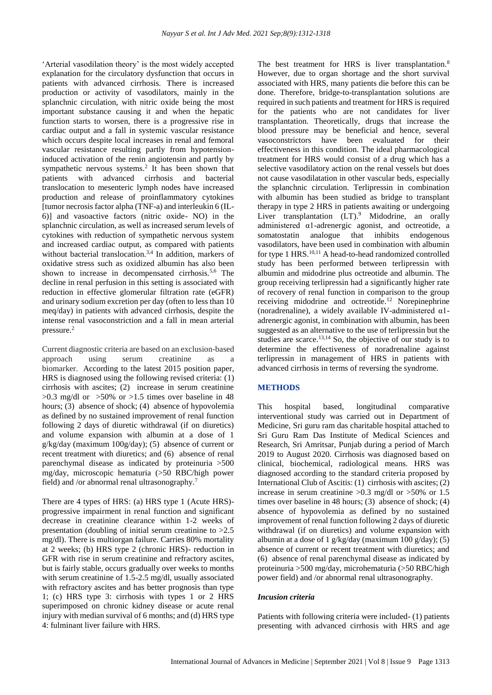'Arterial vasodilation theory' is the most widely accepted explanation for the circulatory dysfunction that occurs in patients with advanced cirrhosis. There is increased production or activity of vasodilators, mainly in the splanchnic circulation, with nitric oxide being the most important substance causing it and when the hepatic function starts to worsen, there is a progressive rise in cardiac output and a fall in systemic vascular resistance which occurs despite local increases in renal and femoral vascular resistance resulting partly from hypotensioninduced activation of the renin angiotensin and partly by sympathetic nervous systems.<sup>2</sup> It has been shown that patients with advanced cirrhosis and bacterial translocation to mesenteric lymph nodes have increased production and release of proinflammatory cytokines [tumor necrosis factor alpha (TNF-a) and interleukin 6 (IL-6)] and vasoactive factors (nitric oxide- NO) in the splanchnic circulation, as well as increased serum levels of cytokines with reduction of sympathetic nervous system and increased cardiac output, as compared with patients without bacterial translocation.<sup>3,4</sup> In addition, markers of oxidative stress such as oxidized albumin has also been shown to increase in decompensated cirrhosis.<sup>5,6</sup> The decline in renal perfusion in this setting is associated with reduction in effective glomerular filtration rate (eGFR) and urinary sodium excretion per day (often to less than 10 meq/day) in patients with advanced cirrhosis, despite the intense renal vasoconstriction and a fall in mean arterial pressure.<sup>2</sup>

Current diagnostic criteria are based on an exclusion-based approach using serum creatinine as a biomarker. According to the latest 2015 position paper, HRS is diagnosed using the following revised criteria: (1) cirrhosis with ascites; (2) increase in serum creatinine  $>0.3$  mg/dl or  $>50\%$  or  $>1.5$  times over baseline in 48 hours; (3) absence of shock; (4) absence of hypovolemia as defined by no sustained improvement of renal function following 2 days of diuretic withdrawal (if on diuretics) and volume expansion with albumin at a dose of 1 g/kg/day (maximum 100g/day); (5) absence of current or recent treatment with diuretics; and (6) absence of renal parenchymal disease as indicated by proteinuria >500 mg/day, microscopic hematuria (>50 RBC/high power field) and /or abnormal renal ultrasonography.<sup>7</sup>

There are 4 types of HRS: (a) HRS type 1 (Acute HRS) progressive impairment in renal function and significant decrease in creatinine clearance within 1-2 weeks of presentation (doubling of initial serum creatinine to >2.5 mg/dl). There is multiorgan failure. Carries 80% mortality at 2 weeks; (b) HRS type 2 (chronic HRS)- reduction in GFR with rise in serum creatinine and refractory ascites, but is fairly stable, occurs gradually over weeks to months with serum creatinine of 1.5-2.5 mg/dl, usually associated with refractory ascites and has better prognosis than type 1; (c) HRS type 3: cirrhosis with types 1 or 2 HRS superimposed on chronic kidney disease or acute renal injury with median survival of 6 months; and (d) HRS type 4: fulminant liver failure with HRS.

The best treatment for HRS is liver transplantation.<sup>8</sup> However, due to organ shortage and the short survival associated with HRS, many patients die before this can be done. Therefore, bridge-to-transplantation solutions are required in such patients and treatment for HRS is required for the patients who are not candidates for liver transplantation. Theoretically, drugs that increase the blood pressure may be beneficial and hence, several vasoconstrictors have been evaluated for their effectiveness in this condition. The ideal pharmacological treatment for HRS would consist of a drug which has a selective vasodilatory action on the renal vessels but does not cause vasodilatation in other vascular beds, especially the splanchnic circulation. Terlipressin in combination with albumin has been studied as bridge to transplant therapy in type 2 HRS in patients awaiting or undergoing Liver transplantation  $(LT)$ <sup>9</sup> Midodrine, an orally administered α1-adrenergic agonist, and octreotide, a somatostatin analogue that inhibits endogenous vasodilators, have been used in combination with albumin for type 1 HRS.<sup>10,11</sup> A head-to-head randomized controlled study has been performed between terlipressin with albumin and midodrine plus octreotide and albumin. The group receiving terlipressin had a significantly higher rate of recovery of renal function in comparison to the group receiving midodrine and octreotide.<sup>12</sup> Norepinephrine (noradrenaline), a widely available IV-administered  $\alpha$ 1adrenergic agonist, in combination with albumin, has been suggested as an alternative to the use of terlipressin but the studies are scarce.<sup>13,14</sup> So, the objective of our study is to determine the effectiveness of noradrenaline against terlipressin in management of HRS in patients with advanced cirrhosis in terms of reversing the syndrome.

## **METHODS**

This hospital based, longitudinal comparative interventional study was carried out in Department of Medicine, Sri guru ram das charitable hospital attached to Sri Guru Ram Das Institute of Medical Sciences and Research, Sri Amritsar, Punjab during a period of March 2019 to August 2020. Cirrhosis was diagnosed based on clinical, biochemical, radiological means. HRS was diagnosed according to the standard criteria proposed by International Club of Ascitis: (1) cirrhosis with ascites; (2) increase in serum creatinine >0.3 mg/dl or >50% or 1.5 times over baseline in 48 hours; (3) absence of shock; (4) absence of hypovolemia as defined by no sustained improvement of renal function following 2 days of diuretic withdrawal (if on diuretics) and volume expansion with albumin at a dose of 1  $g/kg/day$  (maximum 100  $g/day$ ); (5) absence of current or recent treatment with diuretics; and (6) absence of renal parenchymal disease as indicated by proteinuria >500 mg/day, microhematuria (>50 RBC/high power field) and /or abnormal renal ultrasonography.

#### *Incusion criteria*

Patients with following criteria were included- (1) patients presenting with advanced cirrhosis with HRS and age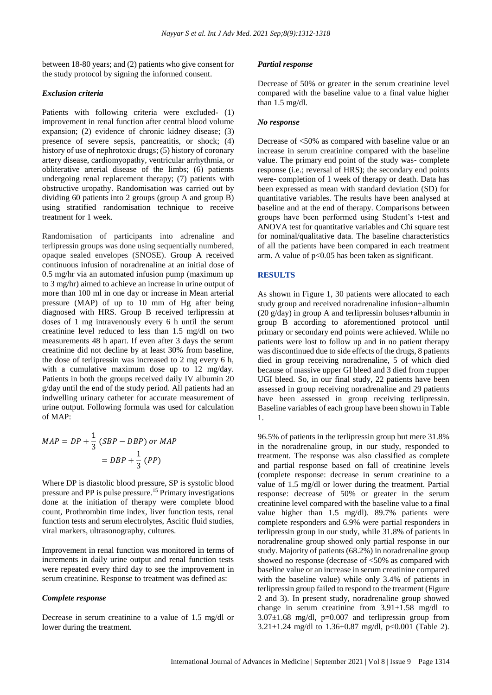between 18-80 years; and (2) patients who give consent for the study protocol by signing the informed consent.

#### *Exclusion criteria*

Patients with following criteria were excluded- (1) improvement in renal function after central blood volume expansion; (2) evidence of chronic kidney disease; (3) presence of severe sepsis, pancreatitis, or shock; (4) history of use of nephrotoxic drugs; (5) history of coronary artery disease, cardiomyopathy, ventricular arrhythmia, or obliterative arterial disease of the limbs; (6) patients undergoing renal replacement therapy; (7) patients with obstructive uropathy. Randomisation was carried out by dividing 60 patients into 2 groups (group A and group B) using stratified randomisation technique to receive treatment for 1 week.

Randomisation of participants into adrenaline and terlipressin groups was done using sequentially numbered, opaque sealed envelopes (SNOSE). Group A received continuous infusion of noradrenaline at an initial dose of 0.5 mg/hr via an automated infusion pump (maximum up to 3 mg/hr) aimed to achieve an increase in urine output of more than 100 ml in one day or increase in Mean arterial pressure (MAP) of up to 10 mm of Hg after being diagnosed with HRS. Group B received terlipressin at doses of 1 mg intravenously every 6 h until the serum creatinine level reduced to less than 1.5 mg/dl on two measurements 48 h apart. If even after 3 days the serum creatinine did not decline by at least 30% from baseline, the dose of terlipressin was increased to 2 mg every 6 h, with a cumulative maximum dose up to 12 mg/day. Patients in both the groups received daily IV albumin 20 g/day until the end of the study period. All patients had an indwelling urinary catheter for accurate measurement of urine output. Following formula was used for calculation of MAP:

$$
MAP = DP + \frac{1}{3} (SBP - DBP) \text{ or } MAP
$$

$$
= DBP + \frac{1}{3} (PP)
$$

Where DP is diastolic blood pressure, SP is systolic blood pressure and PP is pulse pressure.<sup>15</sup> Primary investigations done at the initiation of therapy were complete blood count, Prothrombin time index, liver function tests, renal function tests and serum electrolytes, Ascitic fluid studies, viral markers, ultrasonography, cultures.

Improvement in renal function was monitored in terms of increments in daily urine output and renal function tests were repeated every third day to see the improvement in serum creatinine. Response to treatment was defined as:

#### *Complete response*

Decrease in serum creatinine to a value of 1.5 mg/dl or lower during the treatment.

#### *Partial response*

Decrease of 50% or greater in the serum creatinine level compared with the baseline value to a final value higher than 1.5 mg/dl.

#### *No response*

Decrease of <50% as compared with baseline value or an increase in serum creatinine compared with the baseline value. The primary end point of the study was- complete response (i.e.; reversal of HRS); the secondary end points were- completion of 1 week of therapy or death. Data has been expressed as mean with standard deviation (SD) for quantitative variables. The results have been analysed at baseline and at the end of therapy. Comparisons between groups have been performed using Student's t-test and ANOVA test for quantitative variables and Chi square test for nominal/qualitative data. The baseline characteristics of all the patients have been compared in each treatment arm. A value of  $p<0.05$  has been taken as significant.

#### **RESULTS**

As shown in Figure 1, 30 patients were allocated to each study group and received noradrenaline infusion+albumin (20 g/day) in group A and terlipressin boluses+albumin in group B according to aforementioned protocol until primary or secondary end points were achieved. While no patients were lost to follow up and in no patient therapy was discontinued due to side effects of the drugs, 8 patients died in group receiving noradrenaline, 5 of which died because of massive upper GI bleed and 3 died from ±upper UGI bleed. So, in our final study, 22 patients have been assessed in group receiving noradrenaline and 29 patients have been assessed in group receiving terlipressin. Baseline variables of each group have been shown in Table 1.

96.5% of patients in the terlipressin group but mere 31.8% in the noradrenaline group, in our study, responded to treatment. The response was also classified as complete and partial response based on fall of creatinine levels (complete response: decrease in serum creatinine to a value of 1.5 mg/dl or lower during the treatment. Partial response: decrease of 50% or greater in the serum creatinine level compared with the baseline value to a final value higher than 1.5 mg/dl). 89.7% patients were complete responders and 6.9% were partial responders in terlipressin group in our study, while 31.8% of patients in noradrenaline group showed only partial response in our study. Majority of patients (68.2%) in noradrenaline group showed no response (decrease of <50% as compared with baseline value or an increase in serum creatinine compared with the baseline value) while only 3.4% of patients in terlipressin group failed to respond to the treatment (Figure 2 and 3). In present study, noradrenaline group showed change in serum creatinine from  $3.91 \pm 1.58$  mg/dl to  $3.07 \pm 1.68$  mg/dl, p=0.007 and terlipressin group from 3.21 $\pm$ 1.24 mg/dl to 1.36 $\pm$ 0.87 mg/dl, p<0.001 (Table 2).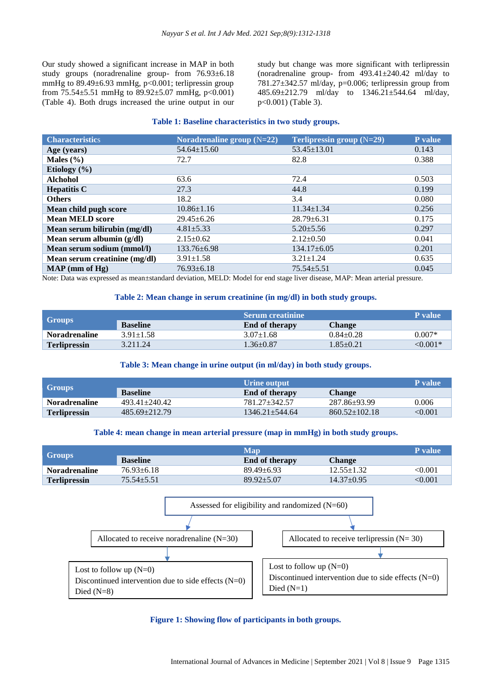Our study showed a significant increase in MAP in both study groups (noradrenaline group- from 76.93±6.18 mmHg to  $89.49 \pm 6.93$  mmHg, p<0.001; terlipressin group from  $75.54\pm5.51$  mmHg to  $89.92\pm5.07$  mmHg, p<0.001) (Table 4). Both drugs increased the urine output in our study but change was more significant with terlipressin (noradrenaline group- from 493.41±240.42 ml/day to 781.27 $\pm$ 342.57 ml/day, p=0.006; terlipressin group from 485.69±212.79 ml/day to 1346.21±544.64 ml/day, p<0.001) (Table 3).

#### **Table 1: Baseline characteristics in two study groups.**

| <b>Characteristics</b>        | Noradrenaline group $(N=22)$ | Terlipressin group $(N=29)$ | P value |
|-------------------------------|------------------------------|-----------------------------|---------|
| Age (years)                   | $54.64 \pm 15.60$            | $53.45 \pm 13.01$           | 0.143   |
| Males $(\% )$                 | 72.7                         | 82.8                        | 0.388   |
| Etiology $(\% )$              |                              |                             |         |
| <b>Alchohol</b>               | 63.6                         | 72.4                        | 0.503   |
| <b>Hepatitis C</b>            | 27.3                         | 44.8                        | 0.199   |
| <b>Others</b>                 | 18.2                         | 3.4                         | 0.080   |
| Mean child pugh score         | $10.86 \pm 1.16$             | $11.34 \pm 1.34$            | 0.256   |
| <b>Mean MELD score</b>        | $29.45 \pm 6.26$             | $28.79 \pm 6.31$            | 0.175   |
| Mean serum bilirubin (mg/dl)  | $4.81 \pm 5.33$              | $5.20 \pm 5.56$             | 0.297   |
| Mean serum albumin (g/dl)     | $2.15 \pm 0.62$              | $2.12 \pm 0.50$             | 0.041   |
| Mean serum sodium (mmol/l)    | $133.76 \pm 6.98$            | $134.17\pm 6.05$            | 0.201   |
| Mean serum creatinine (mg/dl) | $3.91 \pm 1.58$              | $3.21 \pm 1.24$             | 0.635   |
| $MAP$ (mm of $Hg$ )           | $76.93 \pm 6.18$             | $75.54 \pm 5.51$            | 0.045   |

Note: Data was expressed as mean±standard deviation, MELD: Model for end stage liver disease, MAP: Mean arterial pressure.

#### **Table 2: Mean change in serum creatinine (in mg/dl) in both study groups.**

|                                 |                 | ' Serum creatinine .  |                 | <b>P</b> value |
|---------------------------------|-----------------|-----------------------|-----------------|----------------|
| $\overline{\phantom{a}}$ Groups | <b>Baseline</b> | <b>End of therapy</b> | Change          |                |
| <b>Noradrenaline</b>            | $3.91 \pm 1.58$ | $3.07 \pm 1.68$       | $0.84 + 0.28$   | $0.007*$       |
| <b>Terlipressin</b>             | 3.211.24        | $1.36 \pm 0.87$       | $1.85 \pm 0.21$ | ${<}0.001*$    |

#### **Table 3: Mean change in urine output (in ml/day) in both study groups.**

| <b>Groups</b>        |                   | Urine output          |                     | <b>P</b> value |
|----------------------|-------------------|-----------------------|---------------------|----------------|
|                      | <b>Baseline</b>   | <b>End of therapy</b> | <b>Change</b>       |                |
| <b>Noradrenaline</b> | $493.41 + 240.42$ | 781.27+342.57         | 287.86+93.99        | 0.006          |
| <b>Terlipressin</b>  | $485.69 + 212.79$ | $1346.21 + 544.64$    | $860.52 \pm 102.18$ | < 0.001        |

#### **Table 4: mean change in mean arterial pressure (map in mmHg) in both study groups.**

|                      | <b>Map</b>       |                       |                  | <b>P</b> value |
|----------------------|------------------|-----------------------|------------------|----------------|
| <b>Groups</b>        | <b>Baseline</b>  | <b>End of therapy</b> | Change           |                |
| <b>Noradrenaline</b> | $76.93 \pm 6.18$ | $89.49 + 6.93$        | $12.55 \pm 1.32$ | $<\!\!0.001$   |
| <b>Terlipressin</b>  | $75.54 + 5.51$   | $89.92 + 5.07$        | $14.37 + 0.95$   | <0.001         |



**Figure 1: Showing flow of participants in both groups.**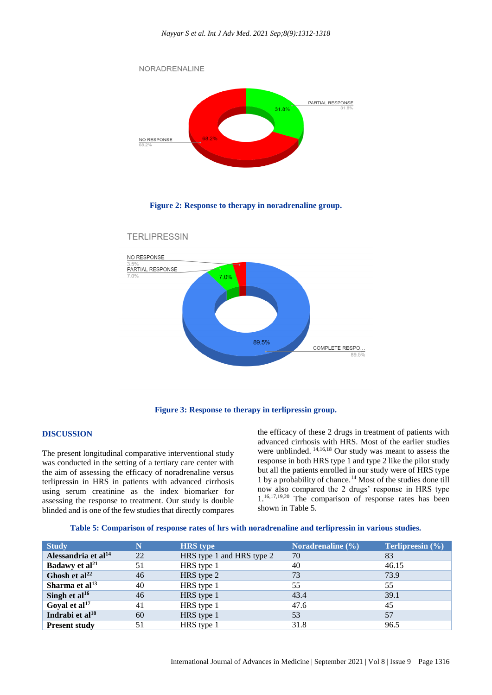

**Figure 2: Response to therapy in noradrenaline group.**





#### **DISCUSSION**

The present longitudinal comparative interventional study was conducted in the setting of a tertiary care center with the aim of assessing the efficacy of noradrenaline versus terlipressin in HRS in patients with advanced cirrhosis using serum creatinine as the index biomarker for assessing the response to treatment. Our study is double blinded and is one of the few studies that directly compares

the efficacy of these 2 drugs in treatment of patients with advanced cirrhosis with HRS. Most of the earlier studies were unblinded. 14,16,18 Our study was meant to assess the response in both HRS type 1 and type 2 like the pilot study but all the patients enrolled in our study were of HRS type 1 by a probability of chance.<sup>14</sup> Most of the studies done till now also compared the 2 drugs' response in HRS type 1.16,17,19,20 The comparison of response rates has been shown in Table 5.

|  | Table 5: Comparison of response rates of hrs with noradrenaline and terlipressin in various studies. |  |  |  |  |  |
|--|------------------------------------------------------------------------------------------------------|--|--|--|--|--|
|--|------------------------------------------------------------------------------------------------------|--|--|--|--|--|

| <b>Study</b>                    | N  | <b>HRS</b> type           | Noradrenaline $(\% )$ | <b>Terlipreesin</b> $(\% )$ |
|---------------------------------|----|---------------------------|-----------------------|-----------------------------|
| Alessandria et al <sup>14</sup> | 22 | HRS type 1 and HRS type 2 | 70                    | 83                          |
| Badawy et al <sup>21</sup>      | 51 | HRS type 1                | 40                    | 46.15                       |
| Ghosh et al $^{22}$             | 46 | HRS type 2                | 73                    | 73.9                        |
| Sharma et al $^{13}$            | 40 | HRS type 1                | 55                    | 55                          |
| Singh et al $^{16}$             | 46 | HRS type 1                | 43.4                  | 39.1                        |
| Goyal et $al17$                 | 41 | HRS type 1                | 47.6                  | 45                          |
| Indrabi et al <sup>18</sup>     | 60 | HRS type 1                | 53                    | 57                          |
| <b>Present study</b>            | 51 | HRS type 1                | 31.8                  | 96.5                        |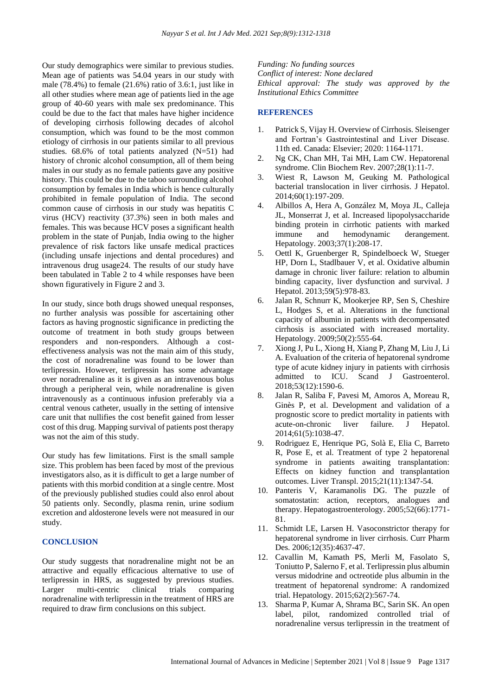Our study demographics were similar to previous studies. Mean age of patients was 54.04 years in our study with male (78.4%) to female (21.6%) ratio of 3.6:1, just like in all other studies where mean age of patients lied in the age group of 40-60 years with male sex predominance. This could be due to the fact that males have higher incidence of developing cirrhosis following decades of alcohol consumption, which was found to be the most common etiology of cirrhosis in our patients similar to all previous studies. 68.6% of total patients analyzed (N=51) had history of chronic alcohol consumption, all of them being males in our study as no female patients gave any positive history. This could be due to the taboo surrounding alcohol consumption by females in India which is hence culturally prohibited in female population of India. The second common cause of cirrhosis in our study was hepatitis C virus (HCV) reactivity (37.3%) seen in both males and females. This was because HCV poses a significant health problem in the state of Punjab, India owing to the higher prevalence of risk factors like unsafe medical practices (including unsafe injections and dental procedures) and intravenous drug usage24. The results of our study have been tabulated in Table 2 to 4 while responses have been shown figuratively in Figure 2 and 3.

In our study, since both drugs showed unequal responses, no further analysis was possible for ascertaining other factors as having prognostic significance in predicting the outcome of treatment in both study groups between responders and non-responders. Although a costeffectiveness analysis was not the main aim of this study, the cost of noradrenaline was found to be lower than terlipressin. However, terlipressin has some advantage over noradrenaline as it is given as an intravenous bolus through a peripheral vein, while noradrenaline is given intravenously as a continuous infusion preferably via a central venous catheter, usually in the setting of intensive care unit that nullifies the cost benefit gained from lesser cost of this drug. Mapping survival of patients post therapy was not the aim of this study.

Our study has few limitations. First is the small sample size. This problem has been faced by most of the previous investigators also, as it is difficult to get a large number of patients with this morbid condition at a single centre. Most of the previously published studies could also enrol about 50 patients only. Secondly, plasma renin, urine sodium excretion and aldosterone levels were not measured in our study.

#### **CONCLUSION**

Our study suggests that noradrenaline might not be an attractive and equally efficacious alternative to use of terlipressin in HRS, as suggested by previous studies. Larger multi-centric clinical trials comparing noradrenaline with terlipressin in the treatment of HRS are required to draw firm conclusions on this subject.

*Funding: No funding sources Conflict of interest: None declared Ethical approval: The study was approved by the Institutional Ethics Committee*

## **REFERENCES**

- 1. Patrick S, Vijay H. Overview of Cirrhosis. Sleisenger and Fortran's Gastrointestinal and Liver Disease. 11th ed. Canada: Elsevier; 2020: 1164-1171.
- 2. Ng CK, Chan MH, Tai MH, Lam CW. Hepatorenal syndrome. Clin Biochem Rev. 2007;28(1):11-7.
- 3. Wiest R, Lawson M, Geuking M. Pathological bacterial translocation in liver cirrhosis. J Hepatol. 2014;60(1):197-209.
- 4. Albillos A, Hera A, González M, Moya JL, Calleja JL, Monserrat J, et al. Increased lipopolysaccharide binding protein in cirrhotic patients with marked immune and hemodynamic derangement. Hepatology. 2003;37(1):208-17.
- 5. Oettl K, Gruenberger R, Spindelboeck W, Stueger HP, Dorn L, Stadlbauer V, et al. Oxidative albumin damage in chronic liver failure: relation to albumin binding capacity, liver dysfunction and survival. J Hepatol. 2013;59(5):978-83.
- 6. Jalan R, Schnurr K, Mookerjee RP, Sen S, Cheshire L, Hodges S, et al. Alterations in the functional capacity of albumin in patients with decompensated cirrhosis is associated with increased mortality. Hepatology. 2009;50(2):555-64.
- 7. Xiong J, Pu L, Xiong H, Xiang P, Zhang M, Liu J, Li A. Evaluation of the criteria of hepatorenal syndrome type of acute kidney injury in patients with cirrhosis admitted to ICU. Scand J Gastroenterol. 2018;53(12):1590-6.
- 8. Jalan R, Saliba F, Pavesi M, Amoros A, Moreau R, Ginès P, et al. Development and validation of a prognostic score to predict mortality in patients with acute-on-chronic liver failure. J Hepatol. 2014;61(5):1038-47.
- 9. Rodriguez E, Henrique PG, Solà E, Elia C, Barreto R, Pose E, et al. Treatment of type 2 hepatorenal syndrome in patients awaiting transplantation: Effects on kidney function and transplantation outcomes. Liver Transpl. 2015;21(11):1347-54.
- 10. Panteris V, Karamanolis DG. The puzzle of somatostatin: action, receptors, analogues and therapy. Hepatogastroenterology. 2005;52(66):1771- 81.
- 11. Schmidt LE, Larsen H. Vasoconstrictor therapy for hepatorenal syndrome in liver cirrhosis. Curr Pharm Des. 2006;12(35):4637-47.
- 12. Cavallin M, Kamath PS, Merli M, Fasolato S, Toniutto P, Salerno F, et al. Terlipressin plus albumin versus midodrine and octreotide plus albumin in the treatment of hepatorenal syndrome: A randomized trial. Hepatology. 2015;62(2):567-74.
- 13. Sharma P, Kumar A, Shrama BC, Sarin SK. An open label, pilot, randomized controlled trial of noradrenaline versus terlipressin in the treatment of